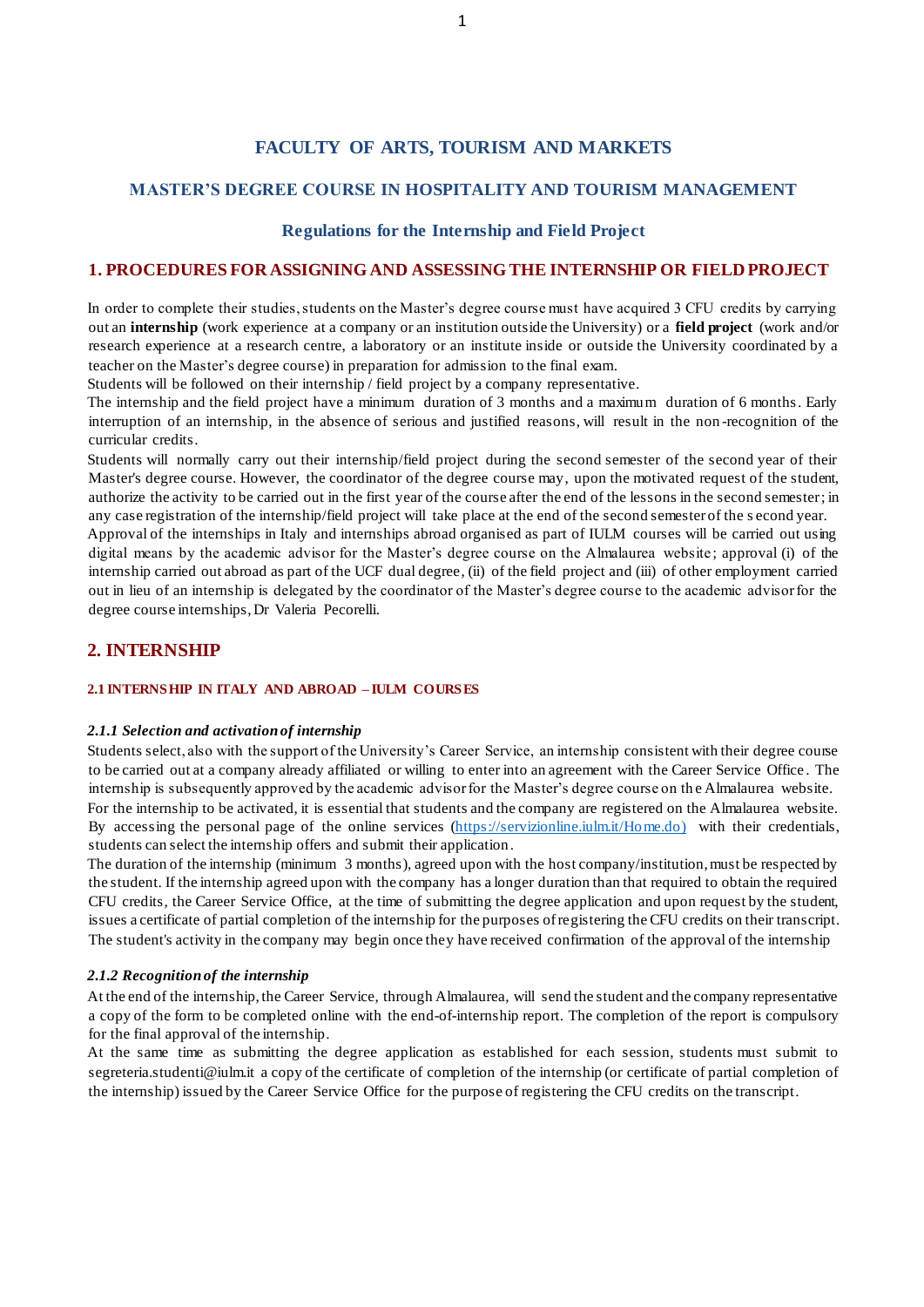# **FACULTY OF ARTS, TOURISM AND MARKETS**

## **MASTER'S DEGREE COURSE IN HOSPITALITY AND TOURISM MANAGEMENT**

### **Regulations for the Internship and Field Project**

### **1. PROCEDURES FOR ASSIGNING AND ASSESSING THE INTERNSHIP OR FIELD PROJECT**

In order to complete their studies, students on the Master's degree course must have acquired 3 CFU credits by carrying out an **internship** (work experience at a company or an institution outside the University) or a **field project** (work and/or research experience at a research centre, a laboratory or an institute inside or outside the University coordinated by a teacher on the Master's degree course) in preparation for admission to the final exam.

Students will be followed on their internship / field project by a company representative.

The internship and the field project have a minimum duration of 3 months and a maximum duration of 6 months. Early interruption of an internship, in the absence of serious and justified reasons, will result in the non -recognition of the curricular credits.

Students will normally carry out their internship/field project during the second semester of the second year of their Master's degree course. However, the coordinator of the degree course may, upon the motivated request of the student, authorize the activity to be carried out in the first year of the course after the end of the lessons in the second semester; in any case registration of the internship/field project will take place at the end of the second semester of the s econd year.

Approval of the internships in Italy and internships abroad organised as part of IULM courses will be carried out using digital means by the academic advisor for the Master's degree course on the Almalaurea website ; approval (i) of the internship carried out abroad as part of the UCF dual degree, (ii) of the field project and (iii) of other employment carried out in lieu of an internship is delegated by the coordinator of the Master's degree course to the academic advisor for the degree course internships, Dr Valeria Pecorelli.

## **2. INTERNSHIP**

### **2.1 INTERNSHIP IN ITALY AND ABROAD – IULM COURSES**

#### *2.1.1 Selection and activation of internship*

Students select, also with the support of the University's Career Service, an internship consistent with their degree course to be carried out at a company already affiliated or willing to enter into an agreement with the Career Service Office . The internship is subsequently approved by the academic advisor for the Master's degree course on th e Almalaurea website. For the internship to be activated, it is essential that students and the company are registered on the Almalaurea website. By accessing the personal page of the online services [\(https://servizionline.iulm.it/Home.do\)](https://servizionline.iulm.it/Home.do) with their credentials, students can select the internship offers and submit their application.

The duration of the internship (minimum 3 months), agreed upon with the host company/institution, must be respected by the student. If the internship agreed upon with the company has a longer duration than that required to obtain the required CFU credits, the Career Service Office, at the time of submitting the degree application and upon request by the student, issues a certificate of partial completion of the internship for the purposes of registering the CFU credits on their transcript. The student's activity in the company may begin once they have received confirmation of the approval of the internship

#### *2.1.2 Recognition of the internship*

At the end of the internship, the Career Service, through Almalaurea, will send the student and the company representative a copy of the form to be completed online with the end-of-internship report. The completion of the report is compulsory for the final approval of the internship.

At the same time as submitting the degree application as established for each session, students must submit to segreteria.studenti@iulm.it a copy of the certificate of completion of the internship (or certificate of partial completion of the internship) issued by the Career Service Office for the purpose of registering the CFU credits on the transcript.